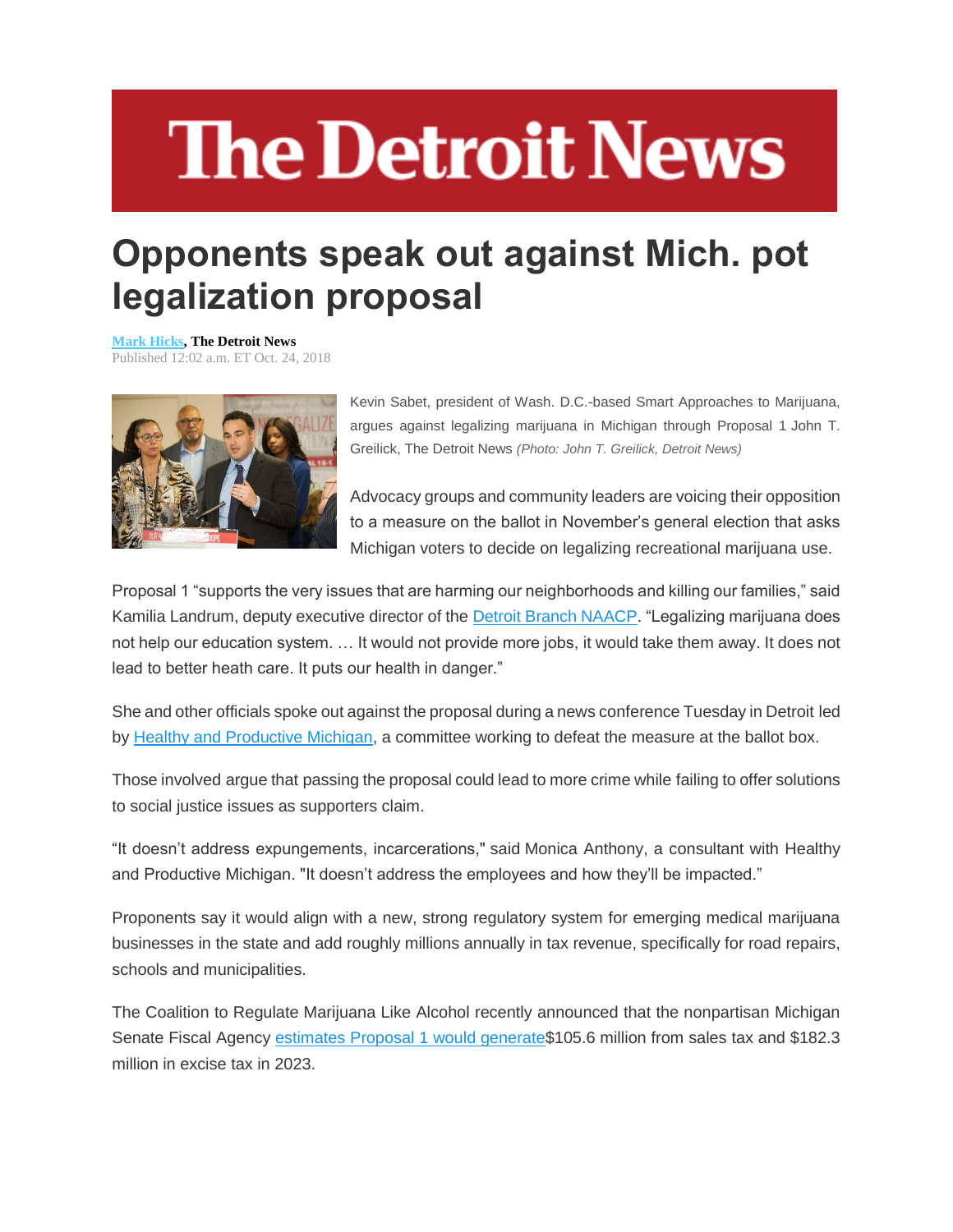## **The Detroit News**

## **Opponents speak out against Mich. pot legalization proposal**

**[Mark Hicks,](http://www.detroitnews.com/staff/27533/mark-hicks/) The Detroit News** Published 12:02 a.m. ET Oct. 24, 2018



Kevin Sabet, president of Wash. D.C.-based Smart Approaches to Marijuana, argues against legalizing marijuana in Michigan through Proposal 1 John T. Greilick, The Detroit News *(Photo: John T. Greilick, Detroit News)*

Advocacy groups and community leaders are voicing their opposition to a measure on the ballot in November's general election that asks Michigan voters to decide on legalizing recreational marijuana use.

Proposal 1 "supports the very issues that are harming our neighborhoods and killing our families," said Kamilia Landrum, deputy executive director of the [Detroit Branch NAACP.](http://detroitnaacp.org/) "Legalizing marijuana does not help our education system. … It would not provide more jobs, it would take them away. It does not lead to better heath care. It puts our health in danger."

She and other officials spoke out against the proposal during a news conference Tuesday in Detroit led by [Healthy and Productive Michigan,](http://healthyandproductivemi.org/) a committee working to defeat the measure at the ballot box.

Those involved argue that passing the proposal could lead to more crime while failing to offer solutions to social justice issues as supporters claim.

"It doesn't address expungements, incarcerations," said Monica Anthony, a consultant with Healthy and Productive Michigan. "It doesn't address the employees and how they'll be impacted."

Proponents say it would align with a new, strong regulatory system for emerging medical marijuana businesses in the state and add roughly millions annually in tax revenue, specifically for road repairs, schools and municipalities.

The Coalition to Regulate Marijuana Like Alcohol recently announced that the nonpartisan Michigan Senate Fiscal Agency [estimates Proposal 1 would generate\\$](https://www.regulatemi.org/press/2018/10/15/michigan-senate-fiscal-agency-proposal-1-will-generate-%24287-million-in-new-tax-revenue/)105.6 million from sales tax and \$182.3 million in excise tax in 2023.